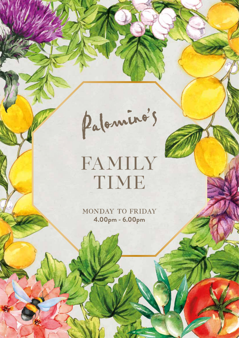Palominos

# FAMILY TIME

MONDAY TO FRIDAY **4.00pm - 6.00pm**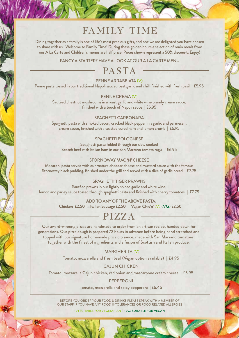## FAMILY TIME

Dining together as a family is one of life's most precious gifts, and one we are delighted you have chosen to share with us. Welcome to Family Time! During these golden hours a selection of main meals from our A La Carte and Children's menus are half price. **Prices shown represent a 50% discount. Enjoy!** 

FANCY A STARTER? HAVE A LOOK AT OUR A LA CARTE MENU

### **PASTA**

### PENNE ARRABBIATA (V)

Penne pasta tossed in our traditional Napoli sauce, roast garlic and chilli finished with fresh basil | £5.95

### PENNE CREMA (V)

Sautéed chestnut mushrooms in a roast garlic and white wine brandy cream sauce, finished with a touch of Napoli sauce | £5.95

#### SPAGHETTI CARBONARA

Spaghetti pasta with smoked bacon, cracked black pepper in a garlic and parmesan, cream sauce, finished with a toasted cured ham and lemon crumb | £6.95

### SPAGHETTI BOLOGNESE

Spaghetti pasta folded through our slow cooked Scotch beef with Italian ham in our San Marzano tomato ragu | £6.95

### STORNOWAY MAC 'N' CHEESE

Macaroni pasta served with our mature cheddar cheese and mustard sauce with the famous Stornoway black pudding, finished under the grill and served with a slice of garlic bread | £7.75

### SPAGHETTI TIGER PRAWNS

Sautéed prawns in our lightly spiced garlic and white wine, lemon and parley sauce tossed through spaghetti pasta and finished with cherry tomatoes | £7.75

> **ADD TO ANY OF THE ABOVE PASTA: Chicken £2.50 Italian Sausage £2.50 Vegan Chic'n'** (V) (VG) **£2.50**

### PIZZA

Our award-winning pizzas are handmade to order from an artisan recipe, handed down for generations. Our pizza dough is prepared 72 hours in advance before being hand stretched and topped with our signature homemade pizzaiolo sauce, made with San Marzano tomatoes, together with the finest of ingredients and a fusion of Scottish and Italian produce.

### MARGHERITA (V)

Tomato, mozzarella and fresh basil (**Vegan option available**) | £4.95

### CAJUN CHICKEN

Tomato, mozzarella Cajun chicken, red onion and mascarpone cream cheese | £5.95

#### PEPPERONI

Tomato, mozzarella and spicy pepperoni | £6.45

BEFORE YOU ORDER YOUR FOOD & DRINKS PLEASE SPEAK WITH A MEMBER OF OUR STAFF IF YOU HAVE ANY FOOD INTOLERANCES OR FOOD RELATED ALLERGIES

(V) SUITABLE FOR VEGETARIAN | (VG) SUITABLE FOR VEGAN